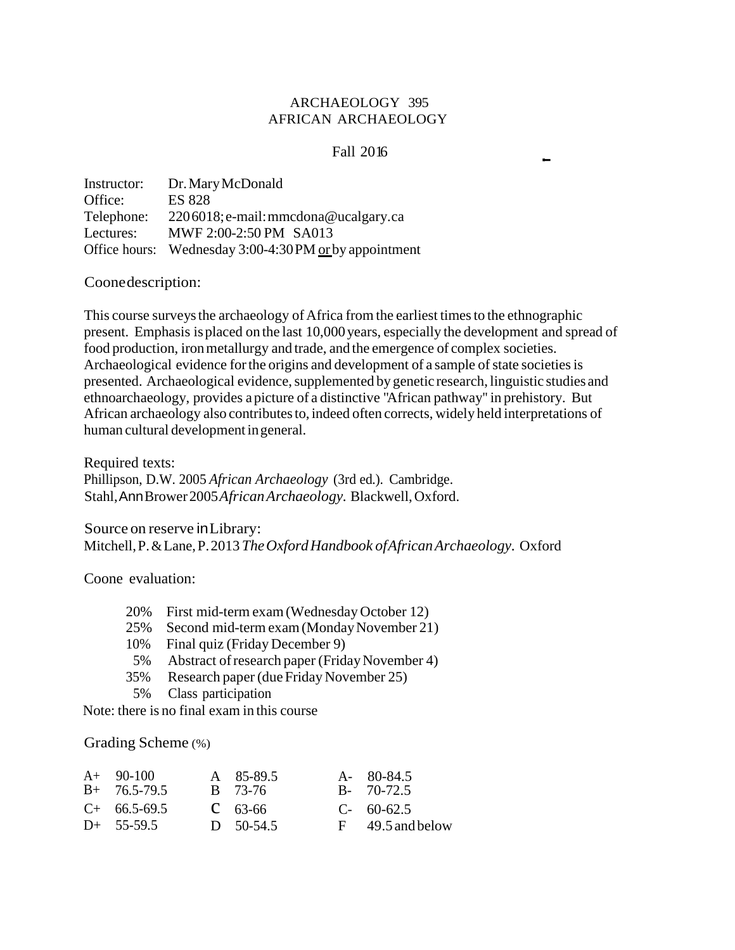# ARCHAEOLOGY 395 AFRICAN ARCHAEOLOGY

## Fall 2016

Instructor: Office: Telephone: Lectures: Office hours: Wednesday 3:00-4:30 PM or by appointment Dr.MaryMcDonald ES 828 2206018;e-mail:mmcdona@ucalgary.ca MWF 2:00-2:50 PM SA013

Coonedescription:

This course surveys the archaeology of Africa from the earliest times to the ethnographic present. Emphasis isplaced on the last 10,000 years, especially the development and spread of food production, ironmetallurgy and trade, and the emergence of complex societies. Archaeological evidence for the origins and development of a sample of state societies is presented. Archaeological evidence, supplemented by genetic research, linguistic studies and ethnoarchaeology, provides a picture of a distinctive "African pathway'' in prehistory. But African archaeology also contributes to, indeed often corrects, widely held interpretations of human cultural development ingeneral.

Required texts: Phillipson, D.W. 2005 *African Archaeology* (3rd ed.). Cambridge. Stahl,AnnBrower2005*AfricanArchaeology.* Blackwell,Oxford.

Source on reserve inLibrary: Mitchell,P.&Lane,P.2013 *TheOxfordHandbook ofAfricanArchaeology.* Oxford

Coone evaluation:

- 20% First mid-term exam(Wednesday October 12)
- 25% Second mid-term exam(MondayNovember 21)
- 10% Final quiz (Friday December 9)
- 5% Abstract of research paper (Friday November 4)
- 35% Research paper (dueFridayNovember 25)
- 5% Class participation

Note: there is no final exam in this course

Grading Scheme (%)

| $A+90-100$<br>$B+ 76.5-79.5$ | A 85-89.5<br>B 73-76 | A- 80-84.5<br>$B - 70-72.5$ |
|------------------------------|----------------------|-----------------------------|
| $C+ 66.5-69.5$               | $C = 63-66$          | $C-60-62.5$                 |
| $D+$ 55-59.5                 | D $50-54.5$          | $F = 49.5$ and below        |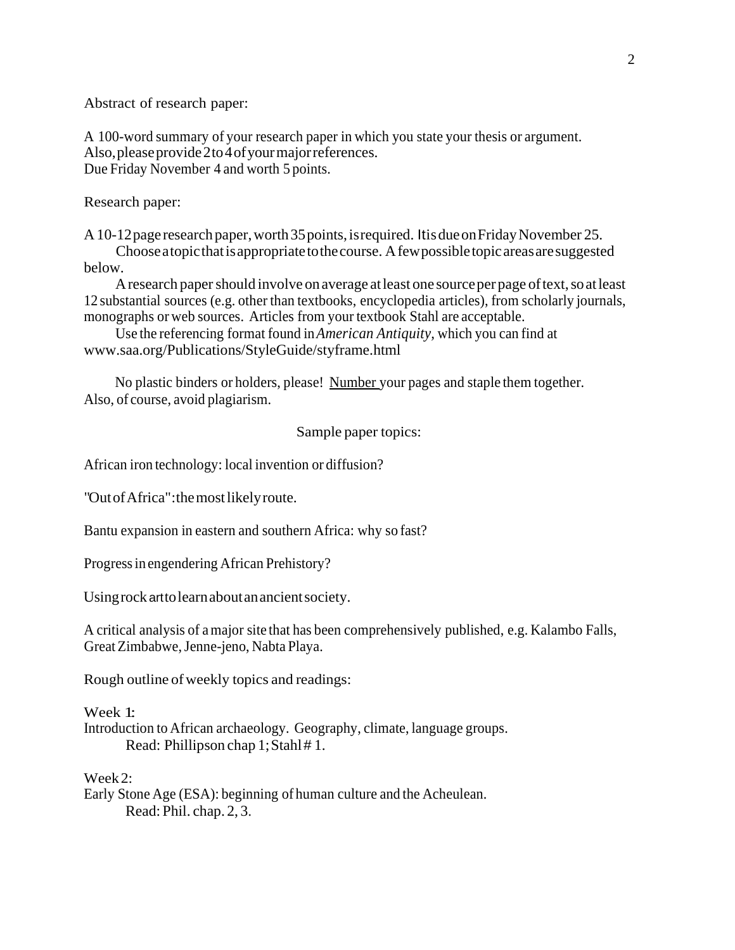Abstract of research paper:

A 100-word summary of your research paper in which you state your thesis or argument. Also, please provide 2 to 4 of your major references. Due Friday November 4 and worth 5 points.

Research paper:

A 10-12 page research paper, worth 35 points, is required. It is due on Friday November 25.

Chooseatopicthatisappropriatetothecourse. Afewpossibletopicareasaresuggested below.

A research paper should involve on average at least one source per page of text, so at least 12 substantial sources (e.g. other than textbooks, encyclopedia articles), from scholarly journals, monographs or web sources. Articles from your textbook Stahl are acceptable.

Use the referencing format found in*American Antiquity,* which you can find at [www.saa.org/Publications/StyleGuide/styframe.html](http://www.saa.org/Publications/StyleGuide/styframe.html)

No plastic binders or holders, please! Number your pages and staple them together. Also, of course, avoid plagiarism.

Sample paper topics:

African iron technology: local invention or diffusion?

"OutofAfrica":themostlikelyroute.

Bantu expansion in eastern and southern Africa: why so fast?

Progressin engendering African Prehistory?

Usingrock art to learn about an ancient society.

A critical analysis of amajor site that has been comprehensively published, e.g. Kalambo Falls, GreatZimbabwe,Jenne-jeno, Nabta Playa.

Rough outline of weekly topics and readings:

Week 1:

Introduction to African archaeology. Geography, climate, language groups. Read: Phillipson chap 1; Stahl #1.

Week2:

Early Stone Age (ESA): beginning of human culture and the Acheulean. Read: Phil. chap. 2, 3.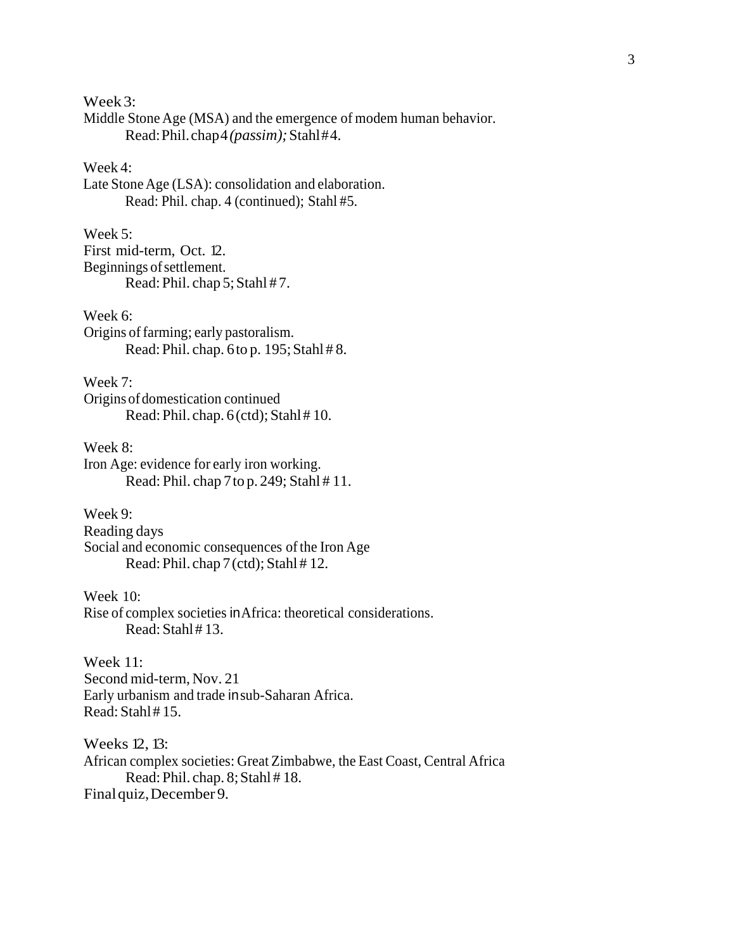Week3:

Middle Stone Age (MSA) and the emergence of modem human behavior. Read:Phil.chap4*(passim);*Stahl#4.

# Week 4:

Late Stone Age (LSA): consolidation and elaboration. Read: Phil. chap. 4 (continued); Stahl #5.

# Week 5:

First mid-term, Oct. 12. Beginnings ofsettlement. Read: Phil. chap 5; Stahl # 7.

## Week 6:

Origins of farming; early pastoralism. Read: Phil. chap. 6to p. 195; Stahl # 8.

#### Week 7:

Origins ofdomestication continued Read: Phil. chap. 6(ctd); Stahl# 10.

Week 8:

Iron Age: evidence for early iron working. Read: Phil. chap 7to p. 249; Stahl # 11.

Week 9: Reading days Social and economic consequences of the Iron Age Read: Phil. chap 7 (ctd); Stahl # 12.

Week 10: Rise of complex societies inAfrica: theoretical considerations. Read: Stahl# 13.

Week 11: Second mid-term, Nov. 21 Early urbanism and trade insub-Saharan Africa. Read:Stahl# 15.

Weeks 12, 13: African complex societies: Great Zimbabwe, the East Coast, Central Africa Read: Phil. chap. 8; Stahl # 18.

Finalquiz,December 9.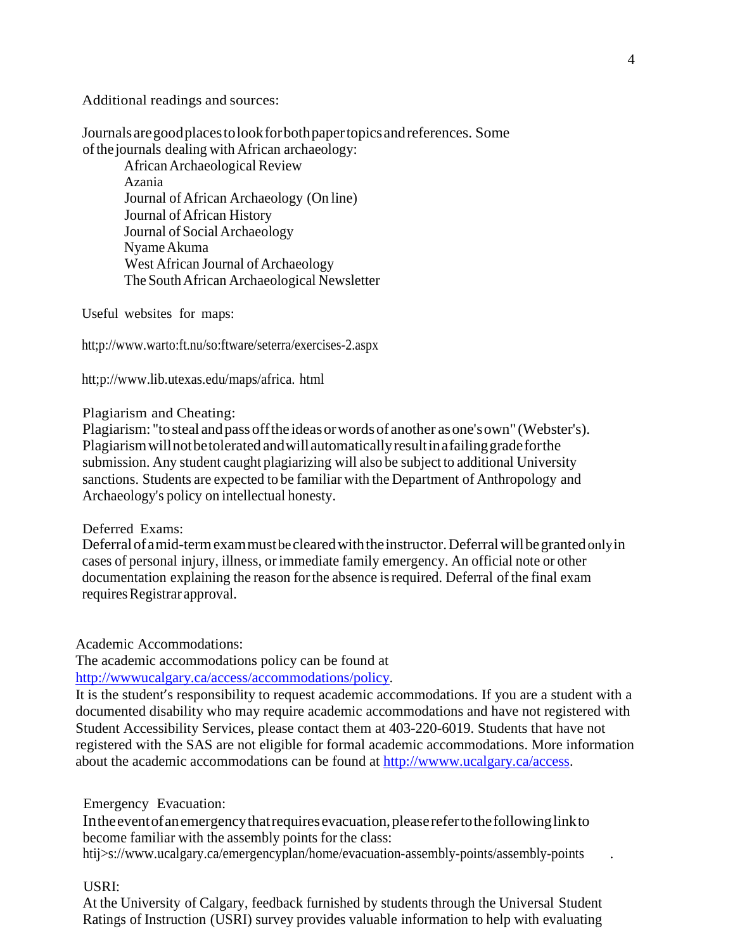Additional readings and sources:

Journals aregoodplacestolookforbothpapertopicsandreferences. Some ofthe journals dealing with African archaeology:

AfricanArchaeological Review Azania Journal of African Archaeology (On line) Journal of African History Journal of Social Archaeology NyameAkuma West African Journal of Archaeology The SouthAfrican Archaeological Newsletter

Useful websites for maps:

htt;p://www.warto:ft.nu/so:ftware/seterra/exercises-2.aspx

htt;p[://www.lib.utexas.edu/maps/africa.](http://www.lib.utexas.edu/maps/africa) html

Plagiarism and Cheating:

Plagiarism: ''tosteal andpass offthe ideasorwordsofanother asone'sown" (Webster's). Plagiarismwillnotbetolerated andwillautomaticallyresultinafailinggradeforthe submission. Any student caught plagiarizing will also be subject to additional University sanctions. Students are expected to be familiar with the Department of Anthropology and Archaeology's policy on intellectual honesty.

### Deferred Exams:

Deferral of a mid-term exammust be cleared with the instructor. Deferral will be granted only in cases of personal injury, illness, or immediate family emergency. An official note or other documentation explaining the reason for the absence is required. Deferral of the final exam requires Registrar approval.

Academic Accommodations:

The academic accommodations policy can be found at [http://wwwucalgary.ca/access/accommodations/policy.](http://wwwucalgary.ca/access/accommodations/policy)

It is the student's responsibility to request academic accommodations. If you are a student with a documented disability who may require academic accommodations and have not registered with Student Accessibility Services, please contact them at 403-220-6019. Students that have not registered with the SAS are not eligible for formal academic accommodations. More information about the academic accommodations can be found at [http://wwww.ucalgary.ca/access.](http://wwww.ucalgary.ca/access)

## Emergency Evacuation:

In the event of an emergency that requires evacuation, please refer to the following link to become familiar with the assembly points for the class:

[htij>s://www.ucalgary.ca/emergencyplan/home/evacuation-assembly-points/assembly-points](http://www.ucalgary.ca/emergencyplan/home/evacuation-assembly-points/assembly-points)

#### USRI:

At the University of Calgary, feedback furnished by students through the Universal Student Ratings of Instruction (USRI) survey provides valuable information to help with evaluating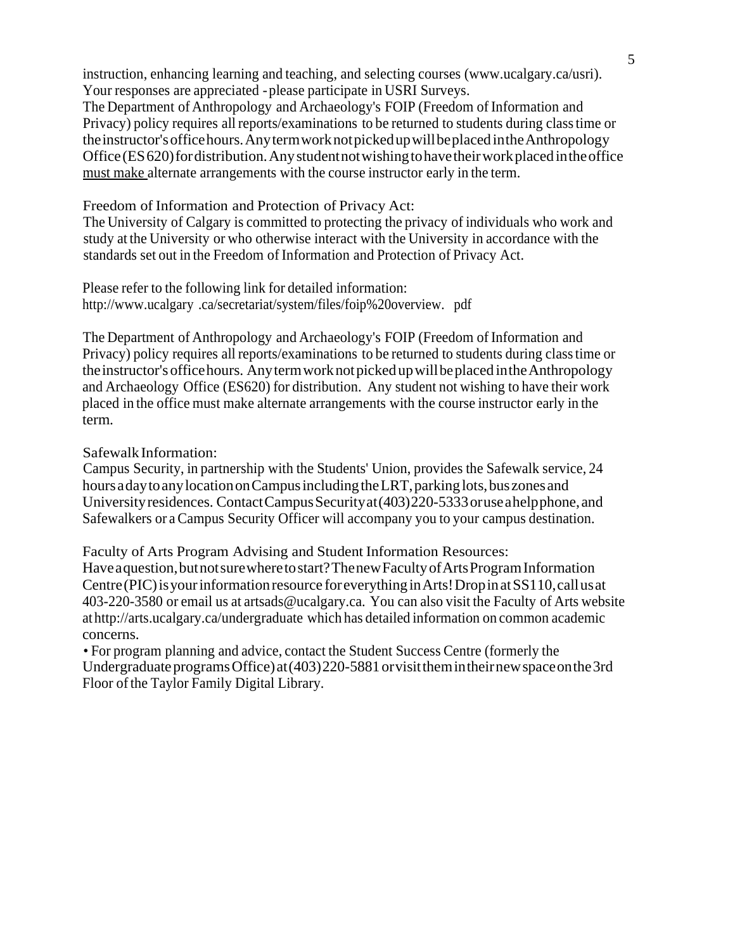instruction, enhancing learning and teaching, and selecting courses [\(www.ucalgary.ca/usri\).](http://www.ucalgary.ca/usri)) Your responses are appreciated -please participate in USRI Surveys.

The Department of Anthropology and Archaeology's FOIP (Freedom of Information and Privacy) policy requires all reports/examinations to be returned to students during classtime or theinstructor'sofficehours.AnytermworknotpickedupwillbeplacedintheAnthropology Office(ES620)fordistribution.Anystudentnotwishingtohavetheirworkplaced intheoffice must make alternate arrangements with the course instructor early in the term.

## Freedom of Information and Protection of Privacy Act:

The University of Calgary is committed to protecting the privacy of individuals who work and study at the University or who otherwise interact with the University in accordance with the standards set out in the Freedom of Information and Protection of Privacy Act.

Please refer to the following link for detailed information: http://www.ucalgary .ca/secretariat/system/files/foip%20overview. pdf

The Department of Anthropology and Archaeology's FOIP (Freedom of Information and Privacy) policy requires all reports/examinations to be returned to students during classtime or the instructor's office hours. Any term work not picked up will be placed in the Anthropology and Archaeology Office (ES620) for distribution. Any student not wishing to have their work placed in the office must make alternate arrangements with the course instructor early in the term.

## SafewalkInformation:

Campus Security, in partnership with the Students' Union, provides the Safewalk service, 24 hours aday to any location on Campus including the LRT, parking lots, bus zones and University residences. Contact Campus Security at  $(403)220$ -5333 or use ahelpphone, and Safewalkers or a Campus Security Officer will accompany you to your campus destination.

Faculty of Arts Program Advising and Student Information Resources:

Haveaquestion,butnotsurewheretostart?ThenewFacultyofArtsProgramInformation Centre (PIC) is your information resource for everything in Arts! Drop in at SS110, call us at 403-220-3580 or email us at [artsads@ucalgary.ca.](mailto:artsads@ucalgary.ca) You can also visit the Faculty of Arts website at <http://arts.ucalgary.ca/undergraduate> which has detailed information on common academic concerns.

• For program planning and advice, contact the Student Success Centre (formerly the Undergraduate programs Office) at  $(403)220-5881$  or visit them in their new space on the 3rd Floor of the Taylor Family Digital Library.